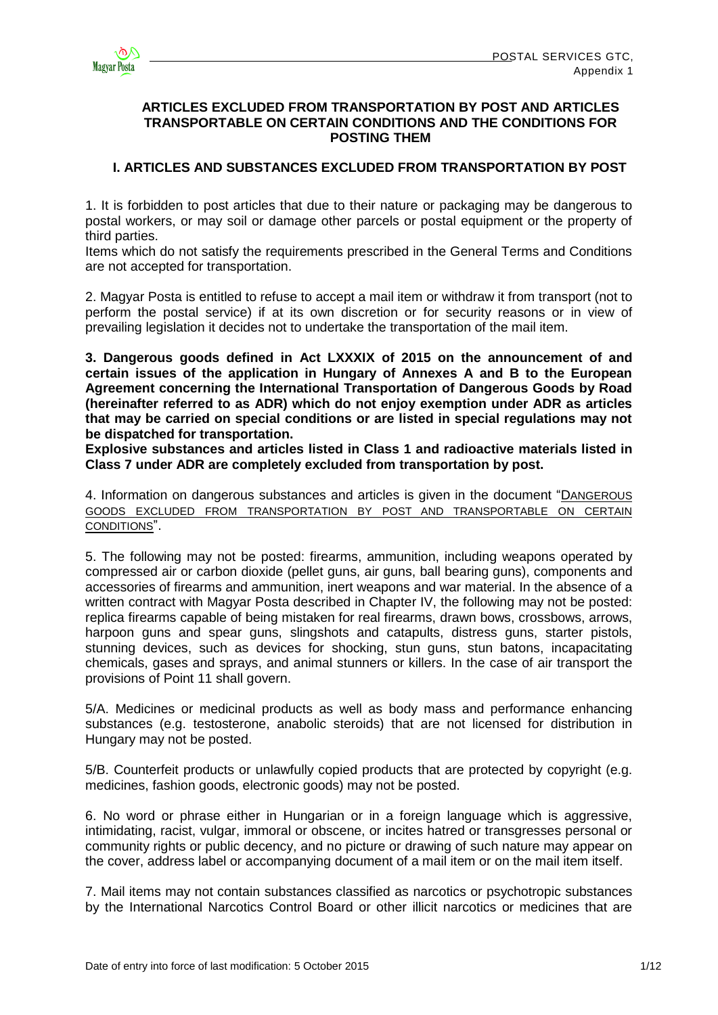

## **ARTICLES EXCLUDED FROM TRANSPORTATION BY POST AND ARTICLES TRANSPORTABLE ON CERTAIN CONDITIONS AND THE CONDITIONS FOR POSTING THEM**

# **I. ARTICLES AND SUBSTANCES EXCLUDED FROM TRANSPORTATION BY POST**

1. It is forbidden to post articles that due to their nature or packaging may be dangerous to postal workers, or may soil or damage other parcels or postal equipment or the property of third parties.

Items which do not satisfy the requirements prescribed in the General Terms and Conditions are not accepted for transportation.

2. Magyar Posta is entitled to refuse to accept a mail item or withdraw it from transport (not to perform the postal service) if at its own discretion or for security reasons or in view of prevailing legislation it decides not to undertake the transportation of the mail item.

**3. Dangerous goods defined in Act LXXXIX of 2015 on the announcement of and certain issues of the application in Hungary of Annexes A and B to the European Agreement concerning the International Transportation of Dangerous Goods by Road (hereinafter referred to as ADR) which do not enjoy exemption under ADR as articles that may be carried on special conditions or are listed in special regulations may not be dispatched for transportation.** 

**Explosive substances and articles listed in Class 1 and radioactive materials listed in Class 7 under ADR are completely excluded from transportation by post.**

4. Information on dangerous substances and articles is given in the document "D[ANGEROUS](http://www.posta.hu/static/internet/download/PASZF_KI05_Szallitasbol_kizart_veszelyes_aruk_20130614_elozetes.pdf)  [GOODS EXCLUDED FROM TRANSPORTATION BY POST](http://www.posta.hu/static/internet/download/PASZF_KI05_Szallitasbol_kizart_veszelyes_aruk_20130614_elozetes.pdf) AND TRANSPORTABLE ON CERTAIN CONDITIONS".

5. The following may not be posted: firearms, ammunition, including weapons operated by compressed air or carbon dioxide (pellet guns, air guns, ball bearing guns), components and accessories of firearms and ammunition, inert weapons and war material. In the absence of a written contract with Magyar Posta described in Chapter IV, the following may not be posted: replica firearms capable of being mistaken for real firearms, drawn bows, crossbows, arrows, harpoon guns and spear guns, slingshots and catapults, distress guns, starter pistols, stunning devices, such as devices for shocking, stun guns, stun batons, incapacitating chemicals, gases and sprays, and animal stunners or killers. In the case of air transport the provisions of Point 11 shall govern.

5/A. Medicines or medicinal products as well as body mass and performance enhancing substances (e.g. testosterone, anabolic steroids) that are not licensed for distribution in Hungary may not be posted.

5/B. Counterfeit products or unlawfully copied products that are protected by copyright (e.g. medicines, fashion goods, electronic goods) may not be posted.

6. No word or phrase either in Hungarian or in a foreign language which is aggressive, intimidating, racist, vulgar, immoral or obscene, or incites hatred or transgresses personal or community rights or public decency, and no picture or drawing of such nature may appear on the cover, address label or accompanying document of a mail item or on the mail item itself.

7. Mail items may not contain substances classified as narcotics or psychotropic substances by the International Narcotics Control Board or other illicit narcotics or medicines that are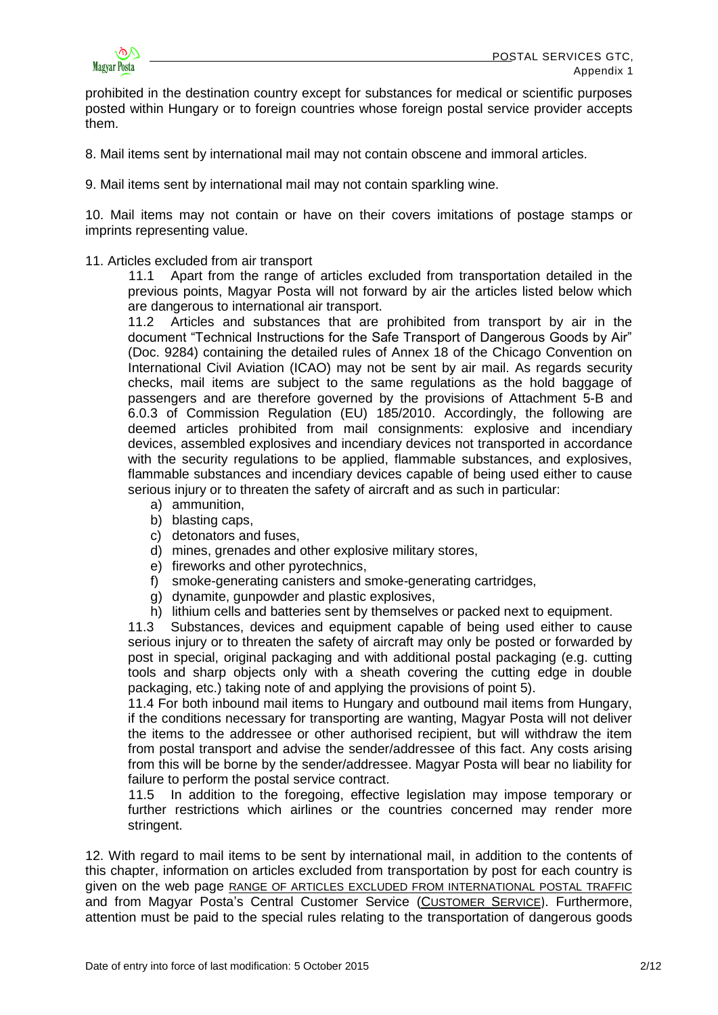

prohibited in the destination country except for substances for medical or scientific purposes posted within Hungary or to foreign countries whose foreign postal service provider accepts them.

- 8. Mail items sent by international mail may not contain obscene and immoral articles.
- 9. Mail items sent by international mail may not contain sparkling wine.

10. Mail items may not contain or have on their covers imitations of postage stamps or imprints representing value.

## 11. Articles excluded from air transport

11.1 Apart from the range of articles excluded from transportation detailed in the previous points, Magyar Posta will not forward by air the articles listed below which are dangerous to international air transport.

11.2 Articles and substances that are prohibited from transport by air in the document "Technical Instructions for the Safe Transport of Dangerous Goods by Air" (Doc. 9284) containing the detailed rules of Annex 18 of the Chicago Convention on International Civil Aviation (ICAO) may not be sent by air mail. As regards security checks, mail items are subject to the same regulations as the hold baggage of passengers and are therefore governed by the provisions of Attachment 5-B and 6.0.3 of Commission Regulation (EU) 185/2010. Accordingly, the following are deemed articles prohibited from mail consignments: explosive and incendiary devices, assembled explosives and incendiary devices not transported in accordance with the security regulations to be applied, flammable substances, and explosives, flammable substances and incendiary devices capable of being used either to cause serious injury or to threaten the safety of aircraft and as such in particular:

- a) ammunition,
- b) blasting caps,
- c) detonators and fuses,
- d) mines, grenades and other explosive military stores,
- e) fireworks and other pyrotechnics,
- f) smoke-generating canisters and smoke-generating cartridges,
- g) dynamite, gunpowder and plastic explosives,
- h) lithium cells and batteries sent by themselves or packed next to equipment.

11.3 Substances, devices and equipment capable of being used either to cause serious injury or to threaten the safety of aircraft may only be posted or forwarded by post in special, original packaging and with additional postal packaging (e.g. cutting tools and sharp objects only with a sheath covering the cutting edge in double packaging, etc.) taking note of and applying the provisions of point 5).

11.4 For both inbound mail items to Hungary and outbound mail items from Hungary, if the conditions necessary for transporting are wanting, Magyar Posta will not deliver the items to the addressee or other authorised recipient, but will withdraw the item from postal transport and advise the sender/addressee of this fact. Any costs arising from this will be borne by the sender/addressee. Magyar Posta will bear no liability for failure to perform the postal service contract.

11.5 In addition to the foregoing, effective legislation may impose temporary or further restrictions which airlines or the countries concerned may render more stringent.

12. With regard to mail items to be sent by international mail, in addition to the contents of this chapter, information on articles excluded from transportation by post for each country is given on the web page [RANGE OF ARTICLES EXCLUDED FROM INTERNATIONAL POSTAL TRAFFIC](http://www.posta.hu/level/level_kulfoldre/nemzetkozi_postai_forgalombol_kizart_targyak_kore) and from Magyar Posta's Central Customer Service (C[USTOMER](http://www.posta.hu/ugyfelszolgalat) SERVICE). Furthermore, attention must be paid to the special rules relating to the transportation of dangerous goods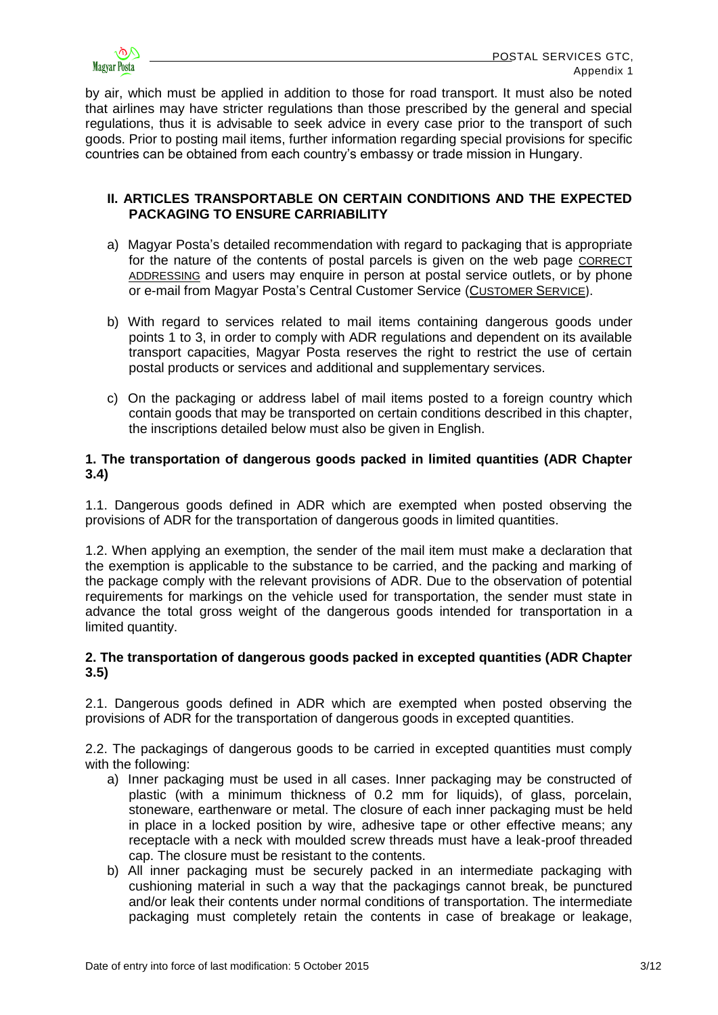

by air, which must be applied in addition to those for road transport. It must also be noted that airlines may have stricter regulations than those prescribed by the general and special regulations, thus it is advisable to seek advice in every case prior to the transport of such goods. Prior to posting mail items, further information regarding special provisions for specific countries can be obtained from each country's embassy or trade mission in Hungary.

# **II. ARTICLES TRANSPORTABLE ON CERTAIN CONDITIONS AND THE EXPECTED PACKAGING TO ENSURE CARRIABILITY**

- a) Magyar Posta's detailed recommendation with regard to packaging that is appropriate for the nature of the contents of postal parcels is given on the web page [CORRECT](http://www.posta.hu/ugyfelszolgalat/helyes_cimzes)  [ADDRESSING](http://www.posta.hu/ugyfelszolgalat/helyes_cimzes) and users may enquire in person at postal service outlets, or by phone or e-mail from Magyar Posta's Central Customer Service (C[USTOMER](http://www.posta.hu/ugyfelszolgalat) SERVICE).
- b) With regard to services related to mail items containing dangerous goods under points 1 to 3, in order to comply with ADR regulations and dependent on its available transport capacities, Magyar Posta reserves the right to restrict the use of certain postal products or services and additional and supplementary services.
- c) On the packaging or address label of mail items posted to a foreign country which contain goods that may be transported on certain conditions described in this chapter, the inscriptions detailed below must also be given in English.

# **1. The transportation of dangerous goods packed in limited quantities (ADR Chapter 3.4)**

1.1. Dangerous goods defined in ADR which are exempted when posted observing the provisions of ADR for the transportation of dangerous goods in limited quantities.

1.2. When applying an exemption, the sender of the mail item must make a declaration that the exemption is applicable to the substance to be carried, and the packing and marking of the package comply with the relevant provisions of ADR. Due to the observation of potential requirements for markings on the vehicle used for transportation, the sender must state in advance the total gross weight of the dangerous goods intended for transportation in a limited quantity.

# **2. The transportation of dangerous goods packed in excepted quantities (ADR Chapter 3.5)**

2.1. Dangerous goods defined in ADR which are exempted when posted observing the provisions of ADR for the transportation of dangerous goods in excepted quantities.

2.2. The packagings of dangerous goods to be carried in excepted quantities must comply with the following:

- a) Inner packaging must be used in all cases. Inner packaging may be constructed of plastic (with a minimum thickness of 0.2 mm for liquids), of glass, porcelain, stoneware, earthenware or metal. The closure of each inner packaging must be held in place in a locked position by wire, adhesive tape or other effective means; any receptacle with a neck with moulded screw threads must have a leak-proof threaded cap. The closure must be resistant to the contents.
- b) All inner packaging must be securely packed in an intermediate packaging with cushioning material in such a way that the packagings cannot break, be punctured and/or leak their contents under normal conditions of transportation. The intermediate packaging must completely retain the contents in case of breakage or leakage,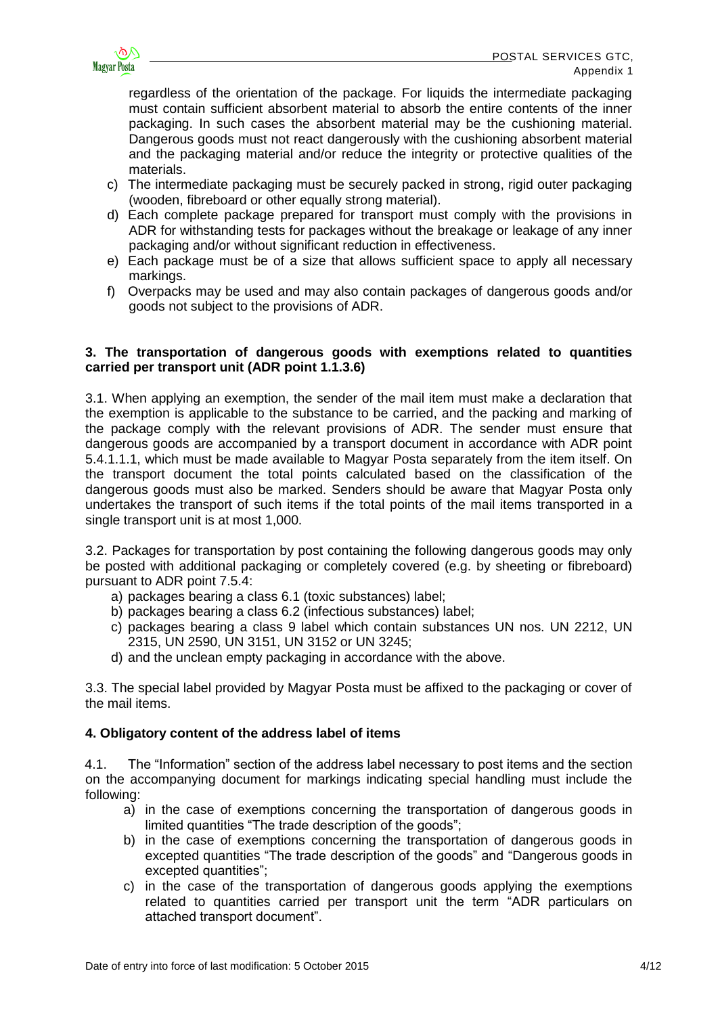

regardless of the orientation of the package. For liquids the intermediate packaging must contain sufficient absorbent material to absorb the entire contents of the inner packaging. In such cases the absorbent material may be the cushioning material. Dangerous goods must not react dangerously with the cushioning absorbent material and the packaging material and/or reduce the integrity or protective qualities of the materials.

- c) The intermediate packaging must be securely packed in strong, rigid outer packaging (wooden, fibreboard or other equally strong material).
- d) Each complete package prepared for transport must comply with the provisions in ADR for withstanding tests for packages without the breakage or leakage of any inner packaging and/or without significant reduction in effectiveness.
- e) Each package must be of a size that allows sufficient space to apply all necessary markings.
- f) Overpacks may be used and may also contain packages of dangerous goods and/or goods not subject to the provisions of ADR.

# **3. The transportation of dangerous goods with exemptions related to quantities carried per transport unit (ADR point 1.1.3.6)**

3.1. When applying an exemption, the sender of the mail item must make a declaration that the exemption is applicable to the substance to be carried, and the packing and marking of the package comply with the relevant provisions of ADR. The sender must ensure that dangerous goods are accompanied by a transport document in accordance with ADR point 5.4.1.1.1, which must be made available to Magyar Posta separately from the item itself. On the transport document the total points calculated based on the classification of the dangerous goods must also be marked. Senders should be aware that Magyar Posta only undertakes the transport of such items if the total points of the mail items transported in a single transport unit is at most 1,000.

3.2. Packages for transportation by post containing the following dangerous goods may only be posted with additional packaging or completely covered (e.g. by sheeting or fibreboard) pursuant to ADR point 7.5.4:

- a) packages bearing a class 6.1 (toxic substances) label;
- b) packages bearing a class 6.2 (infectious substances) label;
- c) packages bearing a class 9 label which contain substances UN nos. UN 2212, UN 2315, UN 2590, UN 3151, UN 3152 or UN 3245;
- d) and the unclean empty packaging in accordance with the above.

3.3. The special label provided by Magyar Posta must be affixed to the packaging or cover of the mail items.

# **4. Obligatory content of the address label of items**

4.1. The "Information" section of the address label necessary to post items and the section on the accompanying document for markings indicating special handling must include the following:

- a) in the case of exemptions concerning the transportation of dangerous goods in limited quantities "The trade description of the goods";
- b) in the case of exemptions concerning the transportation of dangerous goods in excepted quantities "The trade description of the goods" and "Dangerous goods in excepted quantities";
- c) in the case of the transportation of dangerous goods applying the exemptions related to quantities carried per transport unit the term "ADR particulars on attached transport document".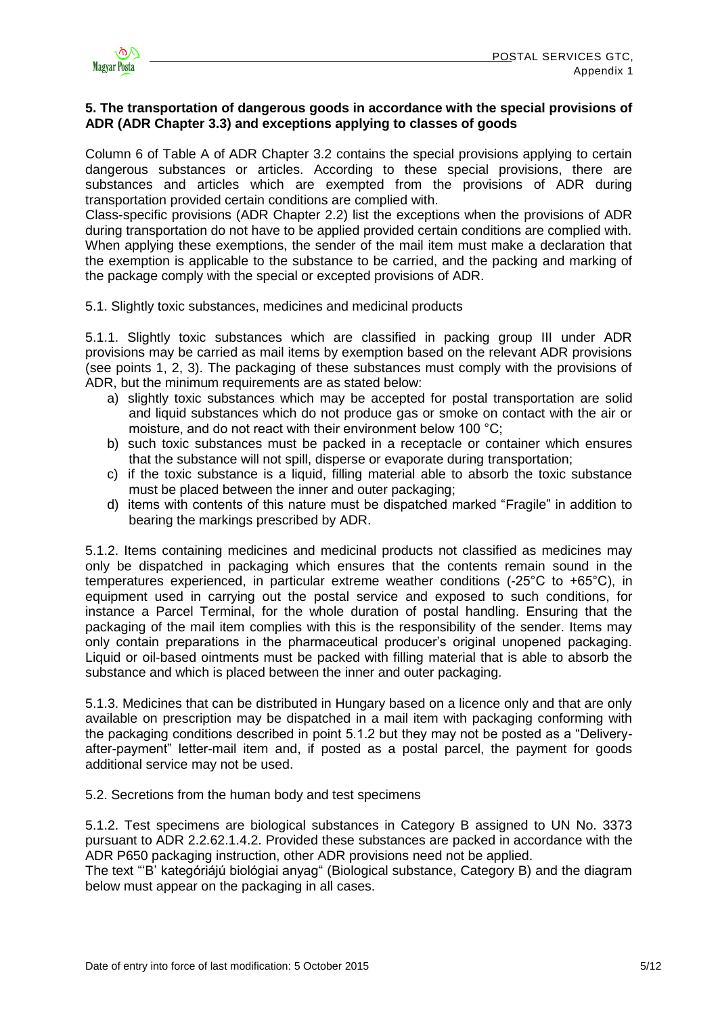# **5. The transportation of dangerous goods in accordance with the special provisions of ADR (ADR Chapter 3.3) and exceptions applying to classes of goods**

Column 6 of Table A of ADR Chapter 3.2 contains the special provisions applying to certain dangerous substances or articles. According to these special provisions, there are substances and articles which are exempted from the provisions of ADR during transportation provided certain conditions are complied with.

Class-specific provisions (ADR Chapter 2.2) list the exceptions when the provisions of ADR during transportation do not have to be applied provided certain conditions are complied with. When applying these exemptions, the sender of the mail item must make a declaration that the exemption is applicable to the substance to be carried, and the packing and marking of the package comply with the special or excepted provisions of ADR.

5.1. Slightly toxic substances, medicines and medicinal products

5.1.1. Slightly toxic substances which are classified in packing group III under ADR provisions may be carried as mail items by exemption based on the relevant ADR provisions (see points 1, 2, 3). The packaging of these substances must comply with the provisions of ADR, but the minimum requirements are as stated below:

- a) slightly toxic substances which may be accepted for postal transportation are solid and liquid substances which do not produce gas or smoke on contact with the air or moisture, and do not react with their environment below 100 °C;
- b) such toxic substances must be packed in a receptacle or container which ensures that the substance will not spill, disperse or evaporate during transportation;
- c) if the toxic substance is a liquid, filling material able to absorb the toxic substance must be placed between the inner and outer packaging;
- d) items with contents of this nature must be dispatched marked "Fragile" in addition to bearing the markings prescribed by ADR.

5.1.2. Items containing medicines and medicinal products not classified as medicines may only be dispatched in packaging which ensures that the contents remain sound in the temperatures experienced, in particular extreme weather conditions (-25°C to +65°C), in equipment used in carrying out the postal service and exposed to such conditions, for instance a Parcel Terminal, for the whole duration of postal handling. Ensuring that the packaging of the mail item complies with this is the responsibility of the sender. Items may only contain preparations in the pharmaceutical producer's original unopened packaging. Liquid or oil-based ointments must be packed with filling material that is able to absorb the substance and which is placed between the inner and outer packaging.

5.1.3. Medicines that can be distributed in Hungary based on a licence only and that are only available on prescription may be dispatched in a mail item with packaging conforming with the packaging conditions described in point 5.1.2 but they may not be posted as a "Deliveryafter-payment" letter-mail item and, if posted as a postal parcel, the payment for goods additional service may not be used.

5.2. Secretions from the human body and test specimens

5.1.2. Test specimens are biological substances in Category B assigned to UN No. 3373 pursuant to ADR 2.2.62.1.4.2. Provided these substances are packed in accordance with the ADR P650 packaging instruction, other ADR provisions need not be applied.

The text "'B' kategóriájú biológiai anyag" (Biological substance, Category B) and the diagram below must appear on the packaging in all cases.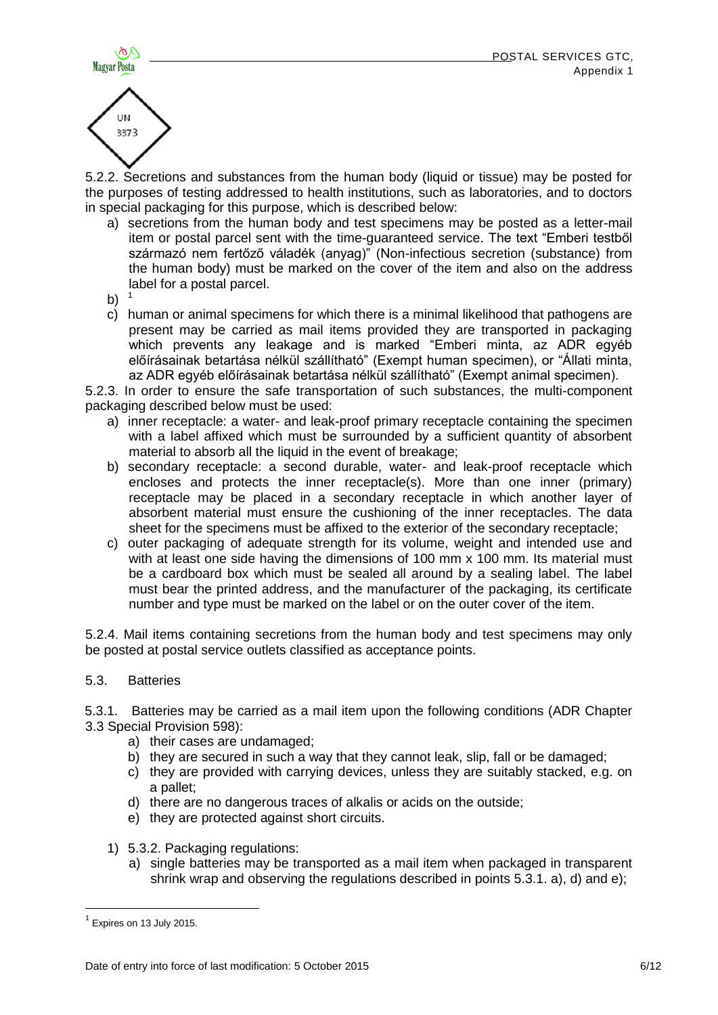



5.2.2. Secretions and substances from the human body (liquid or tissue) may be posted for the purposes of testing addressed to health institutions, such as laboratories, and to doctors in special packaging for this purpose, which is described below:

- a) secretions from the human body and test specimens may be posted as a letter-mail item or postal parcel sent with the time-guaranteed service. The text "Emberi testből származó nem fertőző váladék (anyag)" (Non-infectious secretion (substance) from the human body) must be marked on the cover of the item and also on the address label for a postal parcel.
- $b)$
- c) human or animal specimens for which there is a minimal likelihood that pathogens are present may be carried as mail items provided they are transported in packaging which prevents any leakage and is marked "Emberi minta, az ADR egyéb előírásainak betartása nélkül szállítható" (Exempt human specimen), or "Állati minta, az ADR egyéb előírásainak betartása nélkül szállítható" (Exempt animal specimen).

5.2.3. In order to ensure the safe transportation of such substances, the multi-component packaging described below must be used:

- a) inner receptacle: a water- and leak-proof primary receptacle containing the specimen with a label affixed which must be surrounded by a sufficient quantity of absorbent material to absorb all the liquid in the event of breakage;
- b) secondary receptacle: a second durable, water- and leak-proof receptacle which encloses and protects the inner receptacle(s). More than one inner (primary) receptacle may be placed in a secondary receptacle in which another layer of absorbent material must ensure the cushioning of the inner receptacles. The data sheet for the specimens must be affixed to the exterior of the secondary receptacle;
- c) outer packaging of adequate strength for its volume, weight and intended use and with at least one side having the dimensions of 100 mm x 100 mm. Its material must be a cardboard box which must be sealed all around by a sealing label. The label must bear the printed address, and the manufacturer of the packaging, its certificate number and type must be marked on the label or on the outer cover of the item.

5.2.4. Mail items containing secretions from the human body and test specimens may only be posted at postal service outlets classified as acceptance points.

5.3. Batteries

5.3.1. Batteries may be carried as a mail item upon the following conditions (ADR Chapter 3.3 Special Provision 598):

- a) their cases are undamaged;
- b) they are secured in such a way that they cannot leak, slip, fall or be damaged;
- c) they are provided with carrying devices, unless they are suitably stacked, e.g. on a pallet;
- d) there are no dangerous traces of alkalis or acids on the outside;
- e) they are protected against short circuits.
- 1) 5.3.2. Packaging regulations:
	- a) single batteries may be transported as a mail item when packaged in transparent shrink wrap and observing the regulations described in points 5.3.1. a), d) and e);

**.** 

 $<sup>1</sup>$  Expires on 13 July 2015.</sup>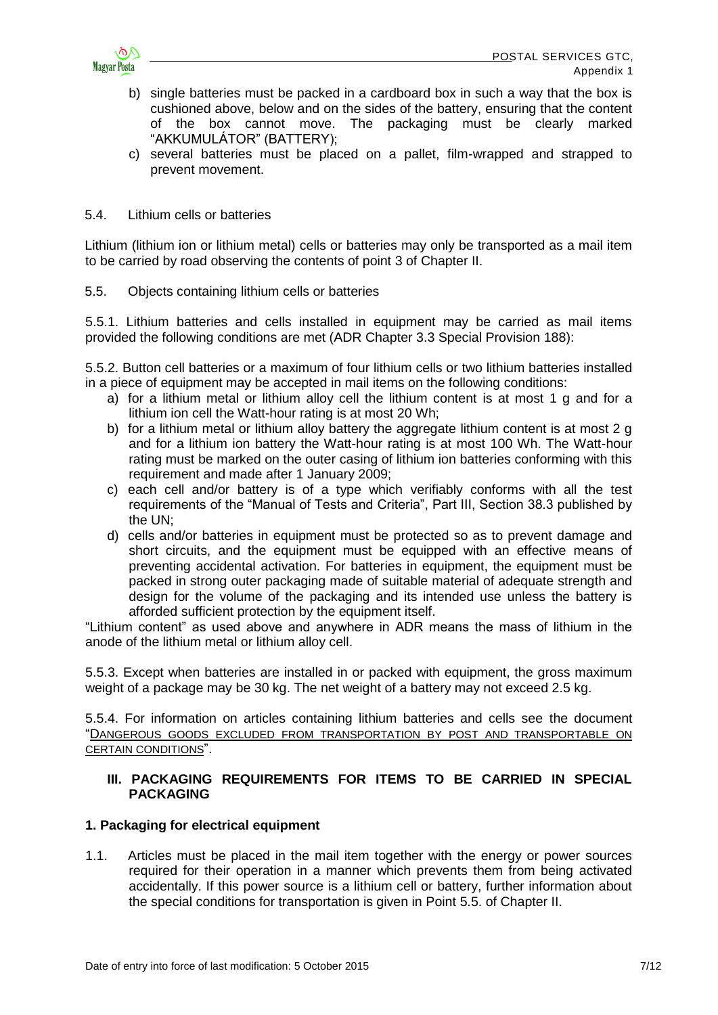

- b) single batteries must be packed in a cardboard box in such a way that the box is cushioned above, below and on the sides of the battery, ensuring that the content of the box cannot move. The packaging must be clearly marked "AKKUMULÁTOR" (BATTERY);
- c) several batteries must be placed on a pallet, film-wrapped and strapped to prevent movement.
- 5.4. Lithium cells or batteries

Lithium (lithium ion or lithium metal) cells or batteries may only be transported as a mail item to be carried by road observing the contents of point 3 of Chapter II.

5.5. Objects containing lithium cells or batteries

5.5.1. Lithium batteries and cells installed in equipment may be carried as mail items provided the following conditions are met (ADR Chapter 3.3 Special Provision 188):

5.5.2. Button cell batteries or a maximum of four lithium cells or two lithium batteries installed in a piece of equipment may be accepted in mail items on the following conditions:

- a) for a lithium metal or lithium alloy cell the lithium content is at most 1 g and for a lithium ion cell the Watt-hour rating is at most 20 Wh;
- b) for a lithium metal or lithium alloy battery the aggregate lithium content is at most 2 g and for a lithium ion battery the Watt-hour rating is at most 100 Wh. The Watt-hour rating must be marked on the outer casing of lithium ion batteries conforming with this requirement and made after 1 January 2009;
- c) each cell and/or battery is of a type which verifiably conforms with all the test requirements of the "Manual of Tests and Criteria", Part III, Section 38.3 published by the UN;
- d) cells and/or batteries in equipment must be protected so as to prevent damage and short circuits, and the equipment must be equipped with an effective means of preventing accidental activation. For batteries in equipment, the equipment must be packed in strong outer packaging made of suitable material of adequate strength and design for the volume of the packaging and its intended use unless the battery is afforded sufficient protection by the equipment itself.

"Lithium content" as used above and anywhere in ADR means the mass of lithium in the anode of the lithium metal or lithium alloy cell.

5.5.3. Except when batteries are installed in or packed with equipment, the gross maximum weight of a package may be 30 kg. The net weight of a battery may not exceed 2.5 kg.

5.5.4. For information on articles containing lithium batteries and cells see the document "D[ANGEROUS GOODS EXCLUDED FROM TRANSPORTATION BY POST](http://www.posta.hu/static/internet/download/PASZF_KI05_Szallitasbol_kizart_veszelyes_aruk_20130614_elozetes.pdf) AND TRANSPORTABLE ON CERTAIN CONDITIONS".

# **III. PACKAGING REQUIREMENTS FOR ITEMS TO BE CARRIED IN SPECIAL PACKAGING**

# **1. Packaging for electrical equipment**

1.1. Articles must be placed in the mail item together with the energy or power sources required for their operation in a manner which prevents them from being activated accidentally. If this power source is a lithium cell or battery, further information about the special conditions for transportation is given in Point 5.5. of Chapter II.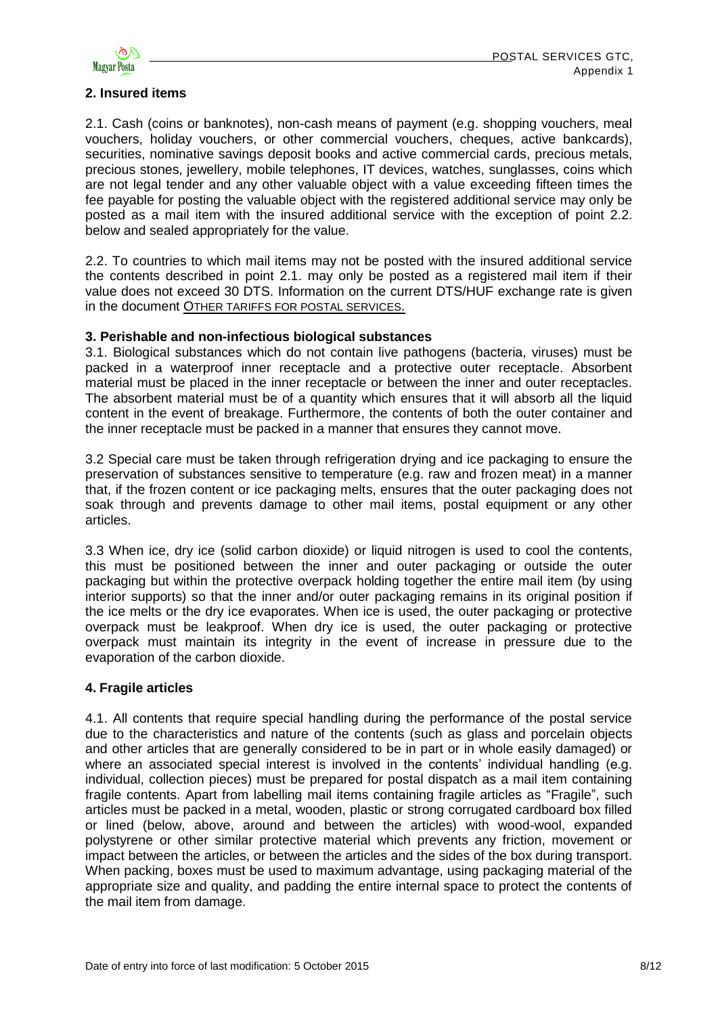

# **2. Insured items**

2.1. Cash (coins or banknotes), non-cash means of payment (e.g. shopping vouchers, meal vouchers, holiday vouchers, or other commercial vouchers, cheques, active bankcards), securities, nominative savings deposit books and active commercial cards, precious metals, precious stones, jewellery, mobile telephones, IT devices, watches, sunglasses, coins which are not legal tender and any other valuable object with a value exceeding fifteen times the fee payable for posting the valuable object with the registered additional service may only be posted as a mail item with the insured additional service with the exception of point 2.2. below and sealed appropriately for the value.

2.2. To countries to which mail items may not be posted with the insured additional service the contents described in point 2.1. may only be posted as a registered mail item if their value does not exceed 30 DTS. Information on the current DTS/HUF exchange rate is given in the document O[THER TARIFFS FOR POSTAL SERVICES](http://www.posta.hu/static/internet/download/PASZF_KI10_Postai_egyeb_dijak.pdf).

## **3. Perishable and non-infectious biological substances**

3.1. Biological substances which do not contain live pathogens (bacteria, viruses) must be packed in a waterproof inner receptacle and a protective outer receptacle. Absorbent material must be placed in the inner receptacle or between the inner and outer receptacles. The absorbent material must be of a quantity which ensures that it will absorb all the liquid content in the event of breakage. Furthermore, the contents of both the outer container and the inner receptacle must be packed in a manner that ensures they cannot move.

3.2 Special care must be taken through refrigeration drying and ice packaging to ensure the preservation of substances sensitive to temperature (e.g. raw and frozen meat) in a manner that, if the frozen content or ice packaging melts, ensures that the outer packaging does not soak through and prevents damage to other mail items, postal equipment or any other articles.

3.3 When ice, dry ice (solid carbon dioxide) or liquid nitrogen is used to cool the contents, this must be positioned between the inner and outer packaging or outside the outer packaging but within the protective overpack holding together the entire mail item (by using interior supports) so that the inner and/or outer packaging remains in its original position if the ice melts or the dry ice evaporates. When ice is used, the outer packaging or protective overpack must be leakproof. When dry ice is used, the outer packaging or protective overpack must maintain its integrity in the event of increase in pressure due to the evaporation of the carbon dioxide.

## **4. Fragile articles**

4.1. All contents that require special handling during the performance of the postal service due to the characteristics and nature of the contents (such as glass and porcelain objects and other articles that are generally considered to be in part or in whole easily damaged) or where an associated special interest is involved in the contents' individual handling (e.g. individual, collection pieces) must be prepared for postal dispatch as a mail item containing fragile contents. Apart from labelling mail items containing fragile articles as "Fragile", such articles must be packed in a metal, wooden, plastic or strong corrugated cardboard box filled or lined (below, above, around and between the articles) with wood-wool, expanded polystyrene or other similar protective material which prevents any friction, movement or impact between the articles, or between the articles and the sides of the box during transport. When packing, boxes must be used to maximum advantage, using packaging material of the appropriate size and quality, and padding the entire internal space to protect the contents of the mail item from damage.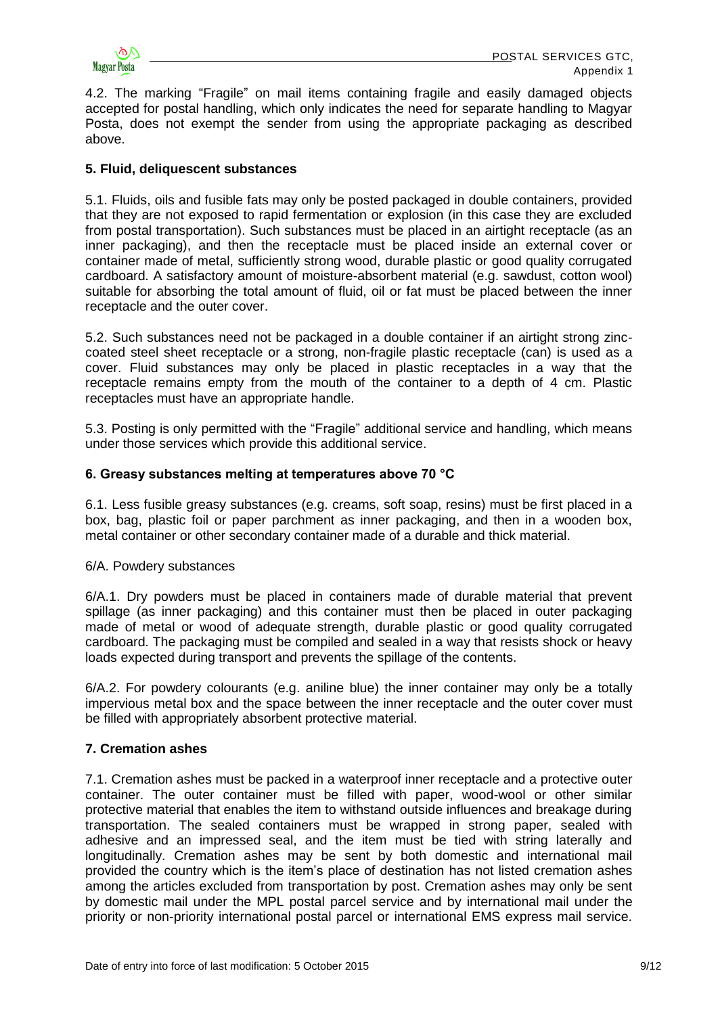

4.2. The marking "Fragile" on mail items containing fragile and easily damaged objects accepted for postal handling, which only indicates the need for separate handling to Magyar Posta, does not exempt the sender from using the appropriate packaging as described above.

## **5. Fluid, deliquescent substances**

5.1. Fluids, oils and fusible fats may only be posted packaged in double containers, provided that they are not exposed to rapid fermentation or explosion (in this case they are excluded from postal transportation). Such substances must be placed in an airtight receptacle (as an inner packaging), and then the receptacle must be placed inside an external cover or container made of metal, sufficiently strong wood, durable plastic or good quality corrugated cardboard. A satisfactory amount of moisture-absorbent material (e.g. sawdust, cotton wool) suitable for absorbing the total amount of fluid, oil or fat must be placed between the inner receptacle and the outer cover.

5.2. Such substances need not be packaged in a double container if an airtight strong zinccoated steel sheet receptacle or a strong, non-fragile plastic receptacle (can) is used as a cover. Fluid substances may only be placed in plastic receptacles in a way that the receptacle remains empty from the mouth of the container to a depth of 4 cm. Plastic receptacles must have an appropriate handle.

5.3. Posting is only permitted with the "Fragile" additional service and handling, which means under those services which provide this additional service.

## **6. Greasy substances melting at temperatures above 70 °C**

6.1. Less fusible greasy substances (e.g. creams, soft soap, resins) must be first placed in a box, bag, plastic foil or paper parchment as inner packaging, and then in a wooden box, metal container or other secondary container made of a durable and thick material.

## 6/A. Powdery substances

6/A.1. Dry powders must be placed in containers made of durable material that prevent spillage (as inner packaging) and this container must then be placed in outer packaging made of metal or wood of adequate strength, durable plastic or good quality corrugated cardboard. The packaging must be compiled and sealed in a way that resists shock or heavy loads expected during transport and prevents the spillage of the contents.

6/A.2. For powdery colourants (e.g. aniline blue) the inner container may only be a totally impervious metal box and the space between the inner receptacle and the outer cover must be filled with appropriately absorbent protective material.

# **7. Cremation ashes**

7.1. Cremation ashes must be packed in a waterproof inner receptacle and a protective outer container. The outer container must be filled with paper, wood-wool or other similar protective material that enables the item to withstand outside influences and breakage during transportation. The sealed containers must be wrapped in strong paper, sealed with adhesive and an impressed seal, and the item must be tied with string laterally and longitudinally. Cremation ashes may be sent by both domestic and international mail provided the country which is the item's place of destination has not listed cremation ashes among the articles excluded from transportation by post. Cremation ashes may only be sent by domestic mail under the MPL postal parcel service and by international mail under the priority or non-priority international postal parcel or international EMS express mail service.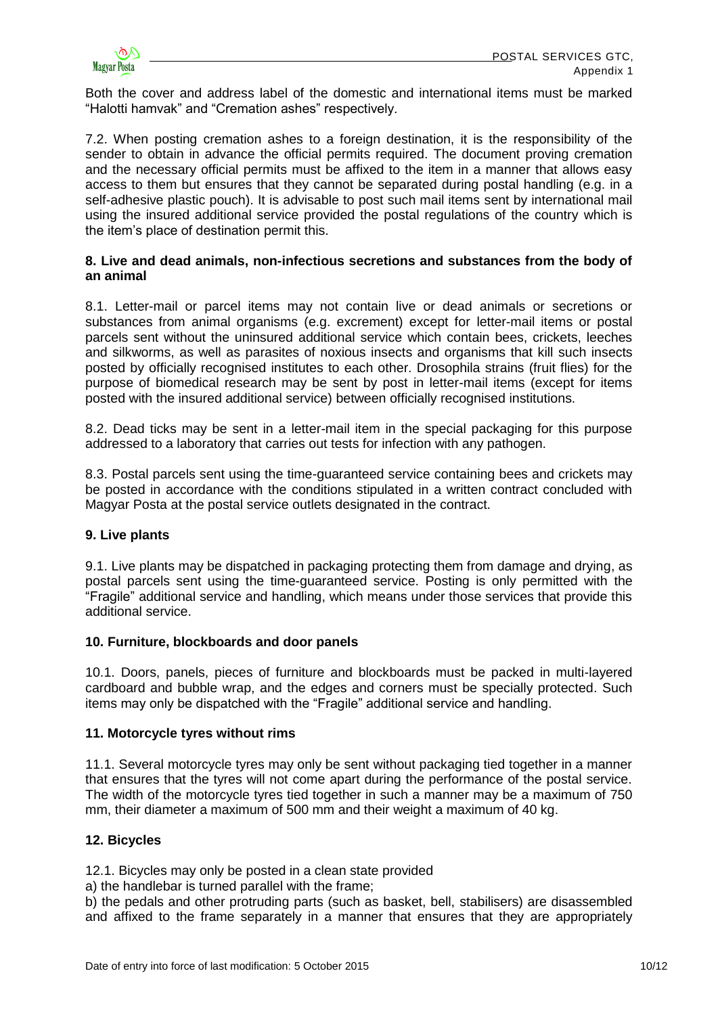

Both the cover and address label of the domestic and international items must be marked "Halotti hamvak" and "Cremation ashes" respectively.

7.2. When posting cremation ashes to a foreign destination, it is the responsibility of the sender to obtain in advance the official permits required. The document proving cremation and the necessary official permits must be affixed to the item in a manner that allows easy access to them but ensures that they cannot be separated during postal handling (e.g. in a self-adhesive plastic pouch). It is advisable to post such mail items sent by international mail using the insured additional service provided the postal regulations of the country which is the item's place of destination permit this.

## **8. Live and dead animals, non-infectious secretions and substances from the body of an animal**

8.1. Letter-mail or parcel items may not contain live or dead animals or secretions or substances from animal organisms (e.g. excrement) except for letter-mail items or postal parcels sent without the uninsured additional service which contain bees, crickets, leeches and silkworms, as well as parasites of noxious insects and organisms that kill such insects posted by officially recognised institutes to each other. Drosophila strains (fruit flies) for the purpose of biomedical research may be sent by post in letter-mail items (except for items posted with the insured additional service) between officially recognised institutions.

8.2. Dead ticks may be sent in a letter-mail item in the special packaging for this purpose addressed to a laboratory that carries out tests for infection with any pathogen.

8.3. Postal parcels sent using the time-guaranteed service containing bees and crickets may be posted in accordance with the conditions stipulated in a written contract concluded with Magyar Posta at the postal service outlets designated in the contract.

# **9. Live plants**

9.1. Live plants may be dispatched in packaging protecting them from damage and drying, as postal parcels sent using the time-guaranteed service. Posting is only permitted with the "Fragile" additional service and handling, which means under those services that provide this additional service.

## **10. Furniture, blockboards and door panels**

10.1. Doors, panels, pieces of furniture and blockboards must be packed in multi-layered cardboard and bubble wrap, and the edges and corners must be specially protected. Such items may only be dispatched with the "Fragile" additional service and handling.

## **11. Motorcycle tyres without rims**

11.1. Several motorcycle tyres may only be sent without packaging tied together in a manner that ensures that the tyres will not come apart during the performance of the postal service. The width of the motorcycle tyres tied together in such a manner may be a maximum of 750 mm, their diameter a maximum of 500 mm and their weight a maximum of 40 kg.

## **12. Bicycles**

12.1. Bicycles may only be posted in a clean state provided

a) the handlebar is turned parallel with the frame;

b) the pedals and other protruding parts (such as basket, bell, stabilisers) are disassembled and affixed to the frame separately in a manner that ensures that they are appropriately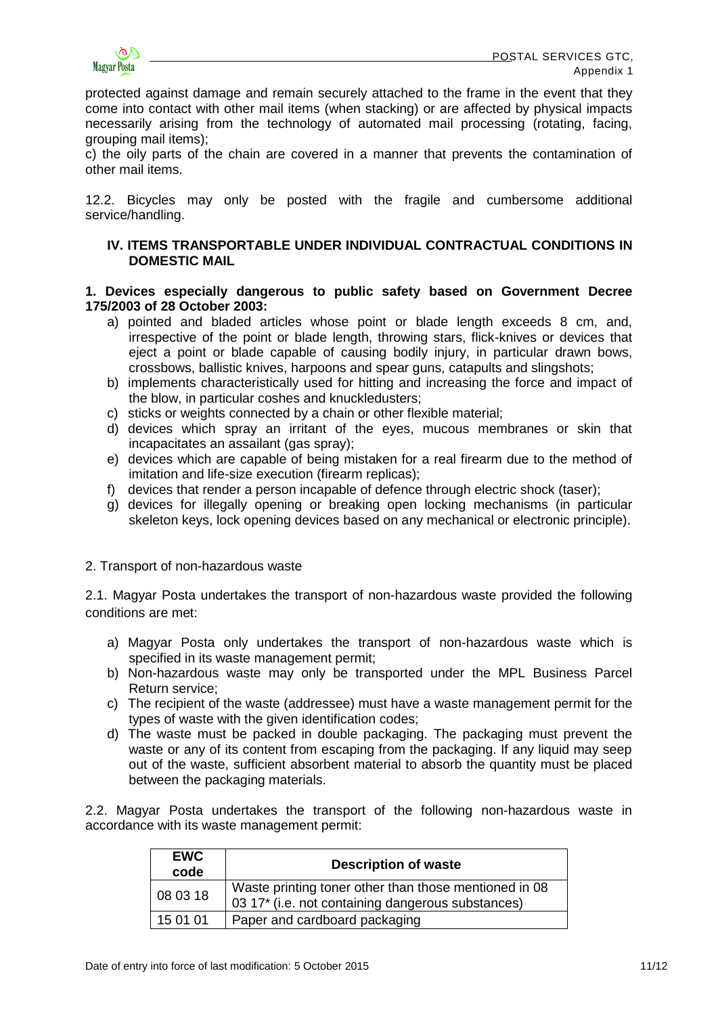

protected against damage and remain securely attached to the frame in the event that they come into contact with other mail items (when stacking) or are affected by physical impacts necessarily arising from the technology of automated mail processing (rotating, facing, grouping mail items);

c) the oily parts of the chain are covered in a manner that prevents the contamination of other mail items.

12.2. Bicycles may only be posted with the fragile and cumbersome additional service/handling.

# **IV. ITEMS TRANSPORTABLE UNDER INDIVIDUAL CONTRACTUAL CONDITIONS IN DOMESTIC MAIL**

## **1. Devices especially dangerous to public safety based on Government Decree 175/2003 of 28 October 2003:**

- a) pointed and bladed articles whose point or blade length exceeds 8 cm, and, irrespective of the point or blade length, throwing stars, flick-knives or devices that eject a point or blade capable of causing bodily injury, in particular drawn bows, crossbows, ballistic knives, harpoons and spear guns, catapults and slingshots;
- b) implements characteristically used for hitting and increasing the force and impact of the blow, in particular coshes and knuckledusters;
- c) sticks or weights connected by a chain or other flexible material;
- d) devices which spray an irritant of the eyes, mucous membranes or skin that incapacitates an assailant (gas spray);
- e) devices which are capable of being mistaken for a real firearm due to the method of imitation and life-size execution (firearm replicas);
- f) devices that render a person incapable of defence through electric shock (taser);
- g) devices for illegally opening or breaking open locking mechanisms (in particular skeleton keys, lock opening devices based on any mechanical or electronic principle).

## 2. Transport of non-hazardous waste

2.1. Magyar Posta undertakes the transport of non-hazardous waste provided the following conditions are met:

- a) Magyar Posta only undertakes the transport of non-hazardous waste which is specified in its waste management permit;
- b) Non-hazardous waste may only be transported under the MPL Business Parcel Return service;
- c) The recipient of the waste (addressee) must have a waste management permit for the types of waste with the given identification codes;
- d) The waste must be packed in double packaging. The packaging must prevent the waste or any of its content from escaping from the packaging. If any liquid may seep out of the waste, sufficient absorbent material to absorb the quantity must be placed between the packaging materials.

2.2. Magyar Posta undertakes the transport of the following non-hazardous waste in accordance with its waste management permit:

| <b>EWC</b><br>code | <b>Description of waste</b>                                                                                |
|--------------------|------------------------------------------------------------------------------------------------------------|
| 1080318            | Waste printing toner other than those mentioned in 08<br>03 17* (i.e. not containing dangerous substances) |
| 15 01 01           | Paper and cardboard packaging                                                                              |